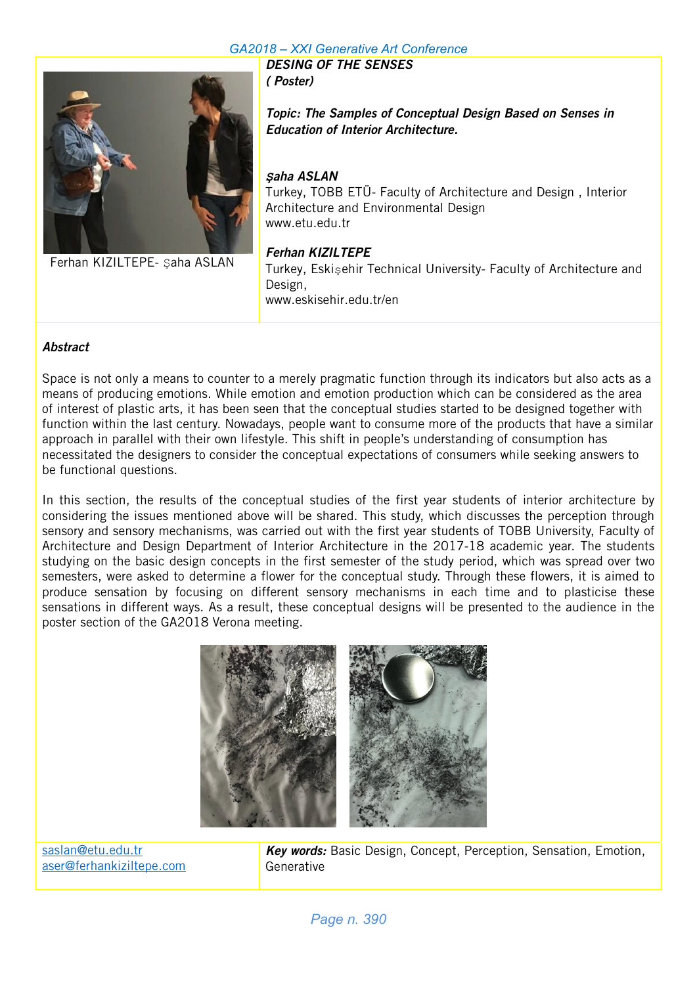### *GA2018 – XXI Generative Art Conference* DESING OF THE SENSES



Ferhan KIZILTEPE- Şaha ASLAN

Topic: The Samples of Conceptual Design Based on Senses in Education of Interior Architecture.

## *Ş*aha ASLAN

( Poster)

Turkey, TOBB ETÜ- Faculty of Architecture and Design , Interior Architecture and Environmental Design www.etu.edu.tr

Ferhan KIZILTEPE Turkey, Eskişehir Technical University- Faculty of Architecture and Design, www.eskisehir.edu.tr/en

## **Abstract**

Space is not only a means to counter to a merely pragmatic function through its indicators but also acts as a means of producing emotions. While emotion and emotion production which can be considered as the area of interest of plastic arts, it has been seen that the conceptual studies started to be designed together with function within the last century. Nowadays, people want to consume more of the products that have a similar approach in parallel with their own lifestyle. This shift in people's understanding of consumption has necessitated the designers to consider the conceptual expectations of consumers while seeking answers to be functional questions.

In this section, the results of the conceptual studies of the first year students of interior architecture by considering the issues mentioned above will be shared. This study, which discusses the perception through sensory and sensory mechanisms, was carried out with the first year students of TOBB University, Faculty of Architecture and Design Department of Interior Architecture in the 2017-18 academic year. The students studying on the basic design concepts in the first semester of the study period, which was spread over two semesters, were asked to determine a flower for the conceptual study. Through these flowers, it is aimed to produce sensation by focusing on different sensory mechanisms in each time and to plasticise these sensations in different ways. As a result, these conceptual designs will be presented to the audience in the poster section of the GA2018 Verona meeting.



saslan@etu.edu.tr aser@ferhankiziltepe.com Key words: Basic Design, Concept, Perception, Sensation, Emotion, Generative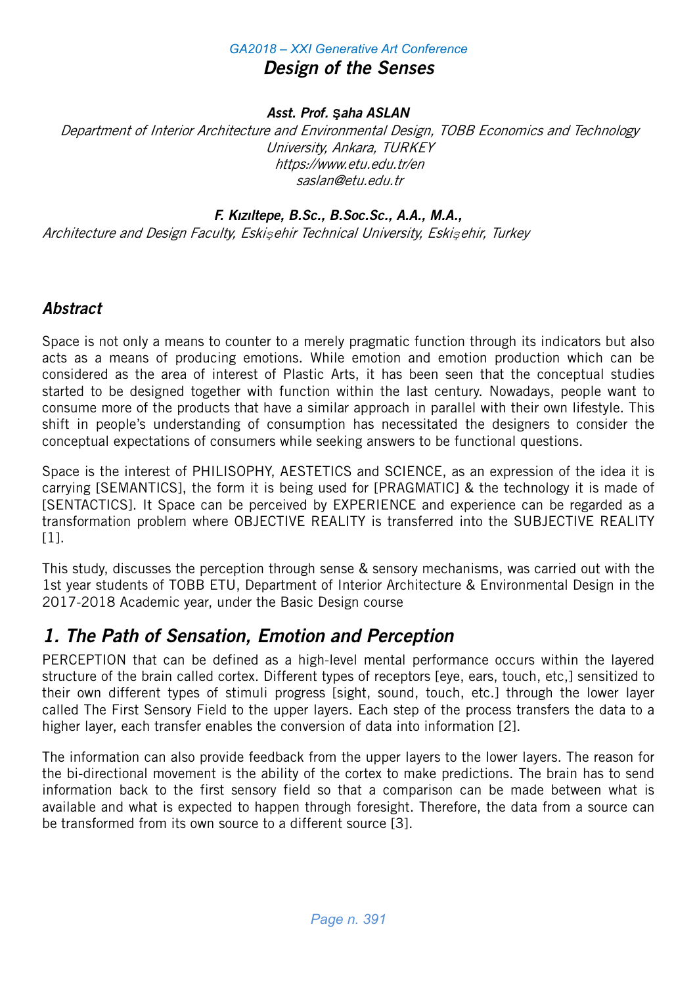## *GA2018 – XXI Generative Art Conference* Design of the Senses

## Asst. Prof. **Ş**aha ASLAN

Department of Interior Architecture and Environmental Design, TOBB Economics and Technology University, Ankara, TURKEY https://www.etu.edu.tr/en saslan@etu.edu.tr

## F. Kızıltepe, B.Sc., B.Soc.Sc., A.A., M.A.,

Architecture and Design Faculty, Eski*ş*ehir Technical University, Eski*ş*ehir, Turkey

# **Abstract**

Space is not only a means to counter to a merely pragmatic function through its indicators but also acts as a means of producing emotions. While emotion and emotion production which can be considered as the area of interest of Plastic Arts, it has been seen that the conceptual studies started to be designed together with function within the last century. Nowadays, people want to consume more of the products that have a similar approach in parallel with their own lifestyle. This shift in people's understanding of consumption has necessitated the designers to consider the conceptual expectations of consumers while seeking answers to be functional questions.

Space is the interest of PHILISOPHY, AESTETICS and SCIENCE, as an expression of the idea it is carrying [SEMANTICS], the form it is being used for [PRAGMATIC] & the technology it is made of [SENTACTICS]. It Space can be perceived by EXPERIENCE and experience can be regarded as a transformation problem where OBJECTIVE REALITY is transferred into the SUBJECTIVE REALITY [1].

This study, discusses the perception through sense & sensory mechanisms, was carried out with the 1st year students of TOBB ETU, Department of Interior Architecture & Environmental Design in the 2017-2018 Academic year, under the Basic Design course

# 1. The Path of Sensation, Emotion and Perception

PERCEPTION that can be defined as a high-level mental performance occurs within the layered structure of the brain called cortex. Different types of receptors [eye, ears, touch, etc,] sensitized to their own different types of stimuli progress [sight, sound, touch, etc.] through the lower layer called The First Sensory Field to the upper layers. Each step of the process transfers the data to a higher layer, each transfer enables the conversion of data into information [2].

The information can also provide feedback from the upper layers to the lower layers. The reason for the bi-directional movement is the ability of the cortex to make predictions. The brain has to send information back to the first sensory field so that a comparison can be made between what is available and what is expected to happen through foresight. Therefore, the data from a source can be transformed from its own source to a different source [3].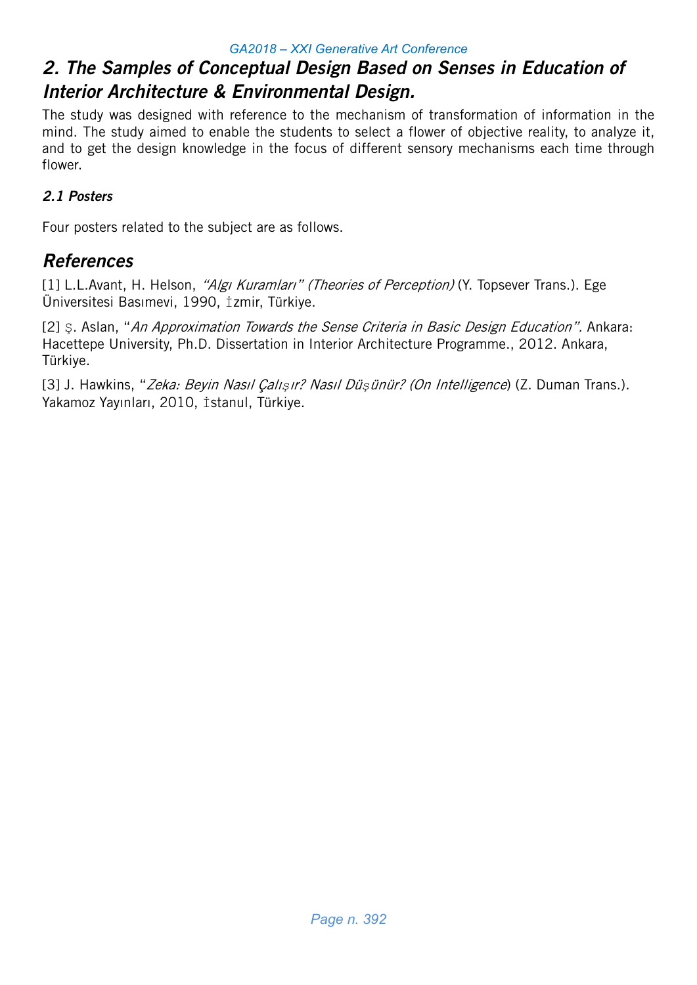# 2. The Samples of Conceptual Design Based on Senses in Education of Interior Architecture & Environmental Design.

The study was designed with reference to the mechanism of transformation of information in the mind. The study aimed to enable the students to select a flower of objective reality, to analyze it, and to get the design knowledge in the focus of different sensory mechanisms each time through flower.

# 2.1 Posters

Four posters related to the subject are as follows.

# References

[1] L.L.Avant, H. Helson, "Algi Kuramlari" (Theories of Perception) (Y. Topsever Trans.). Ege Üniversitesi Basımevi, 1990, İzmir, Türkiye.

[2] S. Aslan, "An Approximation Towards the Sense Criteria in Basic Design Education". Ankara: Hacettepe University, Ph.D. Dissertation in Interior Architecture Programme., 2012. Ankara, Türkiye.

[3] J. Hawkins, "Zeka: Beyin Nasıl Çalı*ş*ır? Nasıl Dü*ş*ünür? (On Intelligence) (Z. Duman Trans.). Yakamoz Yayınları, 2010, istanul, Türkiye.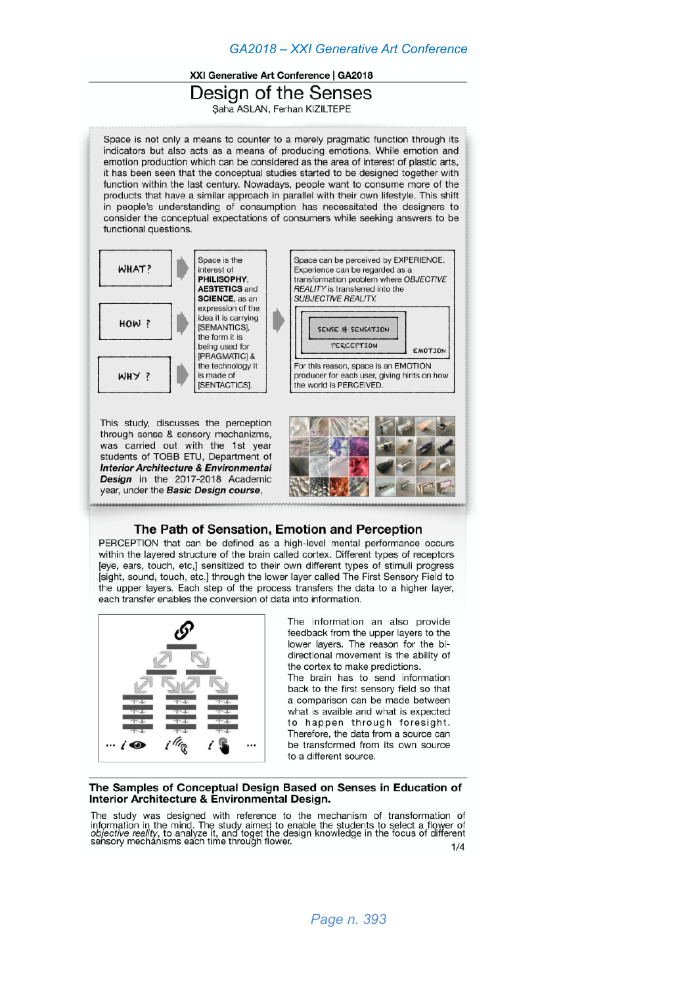### XXI Generative Art Conference | GA2018

Design of the Senses

Saha ASLAN, Ferhan KIZILTEPE

Space is not only a means to counter to a merely pragmatic function through its indicators but also acts as a means of producing emotions. While emotion and emotion production which can be considered as the area of interest of plastic arts. it has been seen that the conceptual studies started to be designed together with function within the last century. Nowadays, people want to consume more of the products that have a similar approach in parallel with their own lifestyle. This shift in people's understanding of consumption has necessitated the designers to consider the conceptual expectations of consumers while seeking answers to be functional questions.



### The Path of Sensation, Emotion and Perception

PERCEPTION that can be defined as a high-level mental performance occurs within the layered structure of the brain called cortex. Different types of receptors [eye, ears, touch, etc,] sensitized to their own different types of stimuli progress [sight, sound, touch, etc.] through the lower layer called The First Sensory Field to the upper layers. Each step of the process transfers the data to a higher layer, each transfer enables the conversion of data into information.



year, under the Basic Design course.

The information an also provide feedback from the upper layers to the lower layers. The reason for the bidirectional movement is the ability of the cortex to make predictions. The brain has to send information back to the first sensory field so that a comparison can be made between what is avaible and what is expected to happen through foresight. Therefore, the data from a source can be transformed from its own source

#### The Samples of Conceptual Design Based on Senses in Education of Interior Architecture & Environmental Design.

The study was designed with reference to the mechanism of transformation of information in the mind. The study aimed to enable the students to select a flower of<br>objective reality, to analyze it, and toget the design knowledge in the focus of different<br>sensory mechanisms each time through flower.  $1/4$ 

to a different source.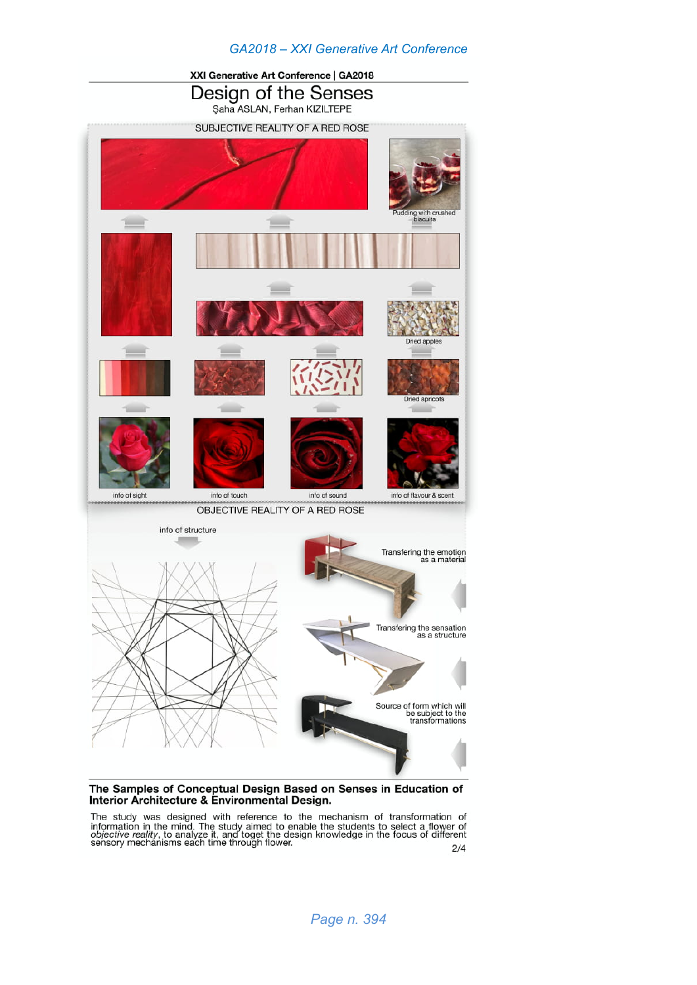

#### The Samples of Conceptual Design Based on Senses in Education of Interior Architecture & Environmental Design.

The study was designed with reference to the mechanism of transformation of information in the mind. The study aimed to enable the students to select a flower of objective reality, to analyze it, and toget the design knowl  $2/4$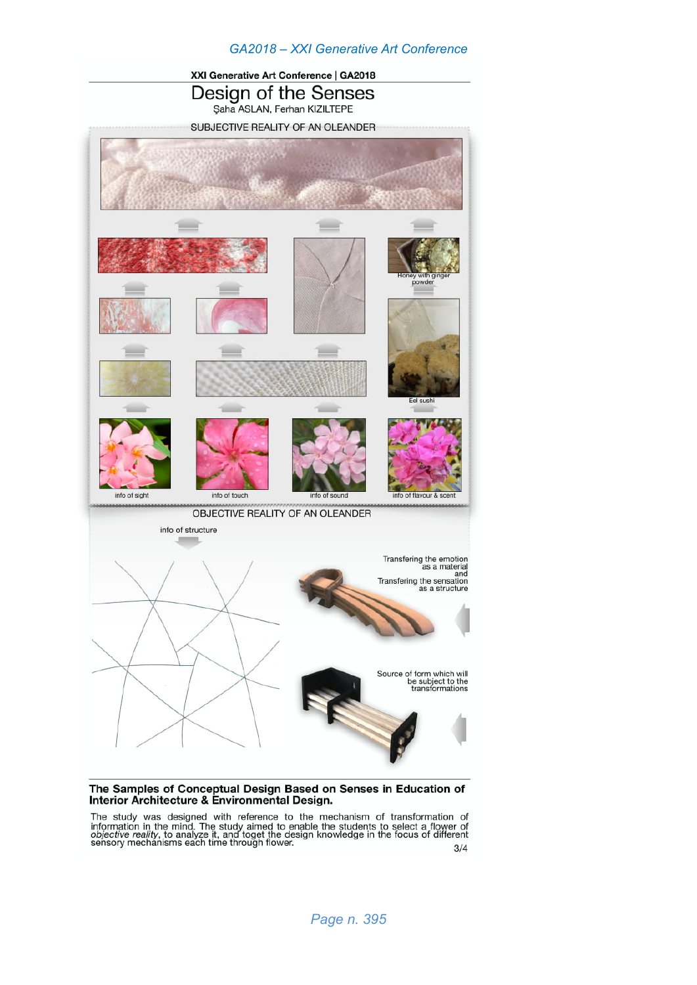

### The Samples of Conceptual Design Based on Senses in Education of Interior Architecture & Environmental Design.

The study was designed with reference to the mechanism of transformation of information in the mind. The study aimed to enable the students to select a flower of *objective reality*, to analyze it, and toget the design kn  $3/4$